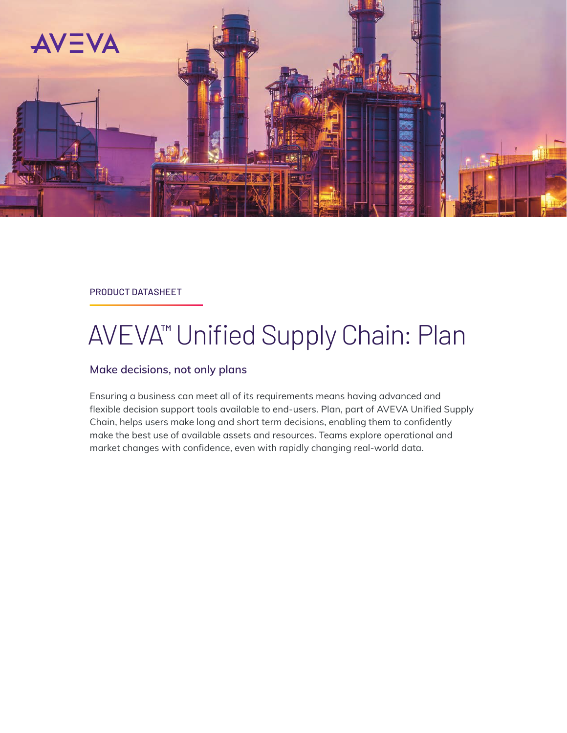

### PRODUCT DATASHEET

# AVEVA<sup>™</sup> Unified Supply Chain: Plan

### **Make decisions, not only plans**

Ensuring a business can meet all of its requirements means having advanced and flexible decision support tools available to end-users. Plan, part of AVEVA Unified Supply Chain, helps users make long and short term decisions, enabling them to confidently make the best use of available assets and resources. Teams explore operational and market changes with confidence, even with rapidly changing real-world data.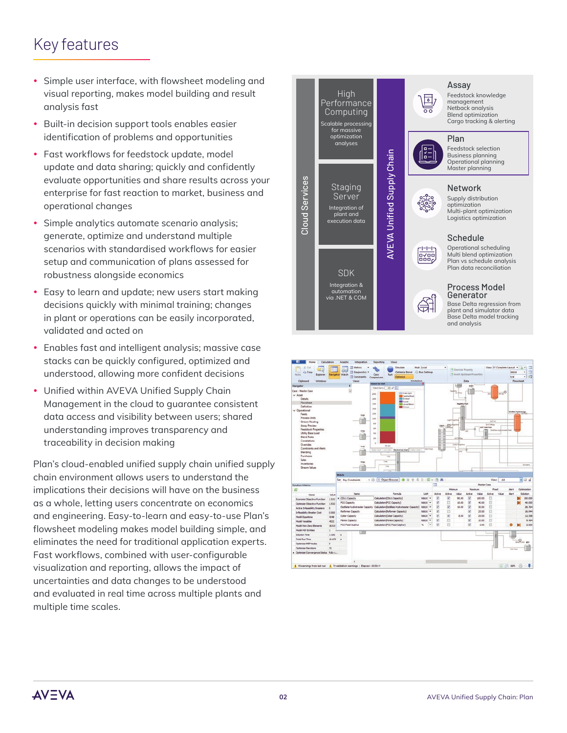## Key features

- Simple user interface, with flowsheet modeling and visual reporting, makes model building and result analysis fast
- Built-in decision support tools enables easier identification of problems and opportunities
- Fast workflows for feedstock update, model update and data sharing; quickly and confidently evaluate opportunities and share results across your enterprise for fast reaction to market, business and operational changes
- Simple analytics automate scenario analysis; generate, optimize and understand multiple scenarios with standardised workflows for easier setup and communication of plans assessed for robustness alongside economics
- Easy to learn and update; new users start making decisions quickly with minimal training; changes in plant or operations can be easily incorporated, validated and acted on
- Enables fast and intelligent analysis; massive case stacks can be quickly configured, optimized and understood, allowing more confident decisions
- Unified within AVEVA Unified Supply Chain Management in the cloud to guarantee consistent data access and visibility between users; shared understanding improves transparency and traceability in decision making

Plan's cloud-enabled unified supply chain unified supply chain environment allows users to understand the implications their decisions will have on the business as a whole, letting users concentrate on economics and engineering. Easy-to-learn and easy-to-use Plan's flowsheet modeling makes model building simple, and eliminates the need for traditional application experts. Fast workflows, combined with user-configurable visualization and reporting, allows the impact of uncertainties and data changes to be understood and evaluated in real time across multiple plants and multiple time scales.





**AV=VA**